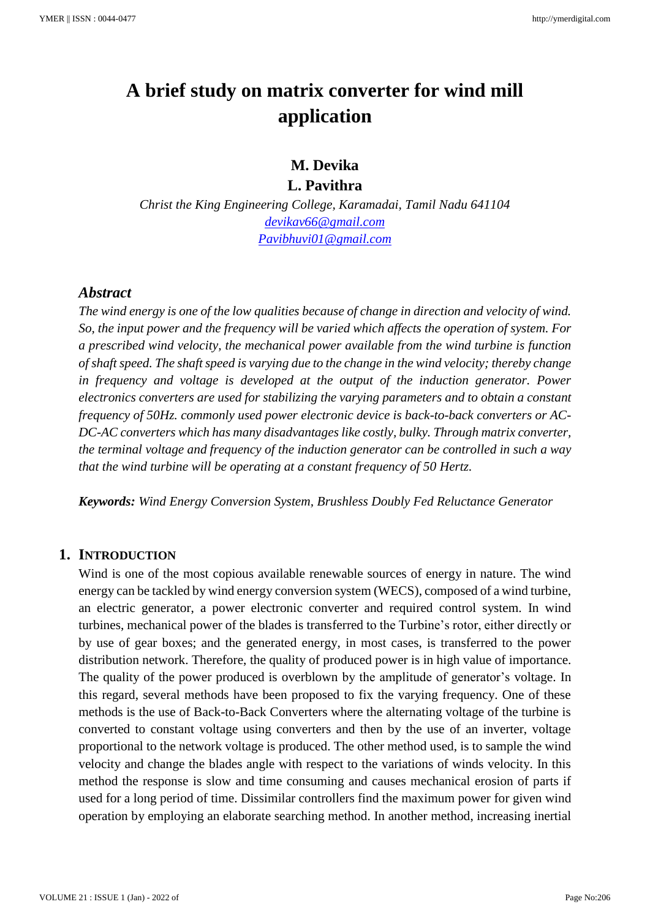# **A brief study on matrix converter for wind mill application**

# **M. Devika L. Pavithra**

*Christ the King Engineering College, Karamadai, Tamil Nadu 641104 [devikav66@gmail.com](mailto:devikav66@gmail.com) [Pavibhuvi01@gmail.com](mailto:Pavibhuvi01@gmail.com)*

#### *Abstract*

*The wind energy is one of the low qualities because of change in direction and velocity of wind. So, the input power and the frequency will be varied which affects the operation of system. For a prescribed wind velocity, the mechanical power available from the wind turbine is function of shaft speed. The shaft speed is varying due to the change in the wind velocity; thereby change in frequency and voltage is developed at the output of the induction generator. Power electronics converters are used for stabilizing the varying parameters and to obtain a constant frequency of 50Hz. commonly used power electronic device is back-to-back converters or AC-DC-AC converters which has many disadvantages like costly, bulky. Through matrix converter, the terminal voltage and frequency of the induction generator can be controlled in such a way that the wind turbine will be operating at a constant frequency of 50 Hertz.*

*Keywords: Wind Energy Conversion System, Brushless Doubly Fed Reluctance Generator*

#### **1. INTRODUCTION**

Wind is one of the most copious available renewable sources of energy in nature. The wind energy can be tackled by wind energy conversion system (WECS), composed of a wind turbine, an electric generator, a power electronic converter and required control system. In wind turbines, mechanical power of the blades is transferred to the Turbine's rotor, either directly or by use of gear boxes; and the generated energy, in most cases, is transferred to the power distribution network. Therefore, the quality of produced power is in high value of importance. The quality of the power produced is overblown by the amplitude of generator's voltage. In this regard, several methods have been proposed to fix the varying frequency. One of these methods is the use of Back-to-Back Converters where the alternating voltage of the turbine is converted to constant voltage using converters and then by the use of an inverter, voltage proportional to the network voltage is produced. The other method used, is to sample the wind velocity and change the blades angle with respect to the variations of winds velocity. In this method the response is slow and time consuming and causes mechanical erosion of parts if used for a long period of time. Dissimilar controllers find the maximum power for given wind operation by employing an elaborate searching method. In another method, increasing inertial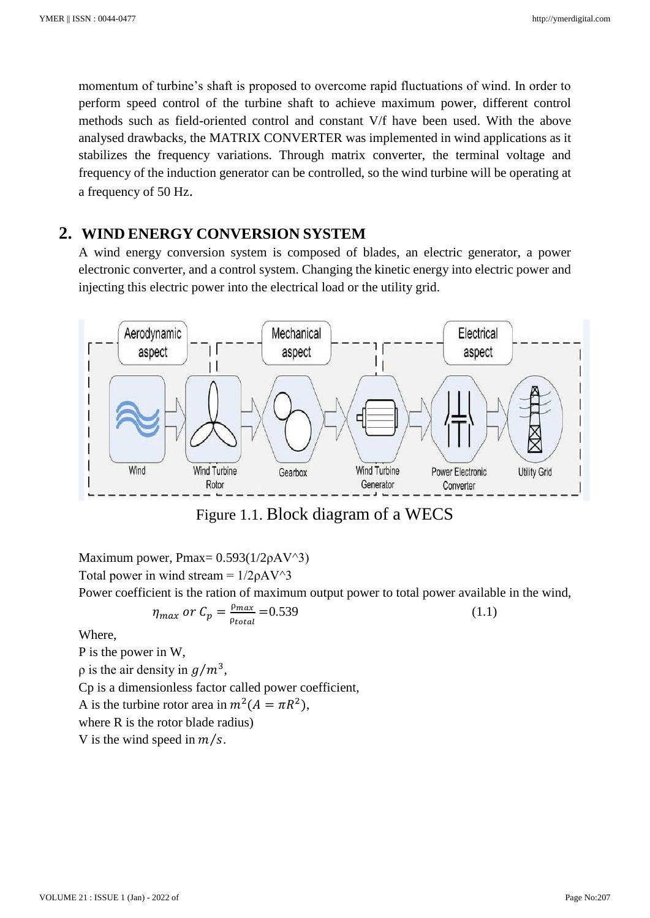momentum of turbine's shaft is proposed to overcome rapid fluctuations of wind. In order to perform speed control of the turbine shaft to achieve maximum power, different control methods such as field-oriented control and constant V/f have been used. With the above analysed drawbacks, the MATRIX CONVERTER was implemented in wind applications as it stabilizes the frequency variations. Through matrix converter, the terminal voltage and frequency of the induction generator can be controlled, so the wind turbine will be operating at a frequency of 50 Hz.

# **2. WIND ENERGY CONVERSION SYSTEM**

A wind energy conversion system is composed of blades, an electric generator, a power electronic converter, and a control system. Changing the kinetic energy into electric power and injecting this electric power into the electrical load or the utility grid.



Figure 1.1. Block diagram of a WECS

Maximum power, Pmax=  $0.593(1/2\rho AV^3)$ Total power in wind stream =  $1/2\rho A V^3$ 

Power coefficient is the ration of maximum output power to total power available in the wind,

$$
\eta_{max} \text{ or } C_p = \frac{\rho_{max}}{\rho_{total}} = 0.539 \tag{1.1}
$$

Where,

P is the power in W,

 $\rho$  is the air density in  $g/m^3$ ,

Cp is a dimensionless factor called power coefficient,

A is the turbine rotor area in  $m^2(A = \pi R^2)$ ,

where R is the rotor blade radius)

V is the wind speed in  $m/s$ .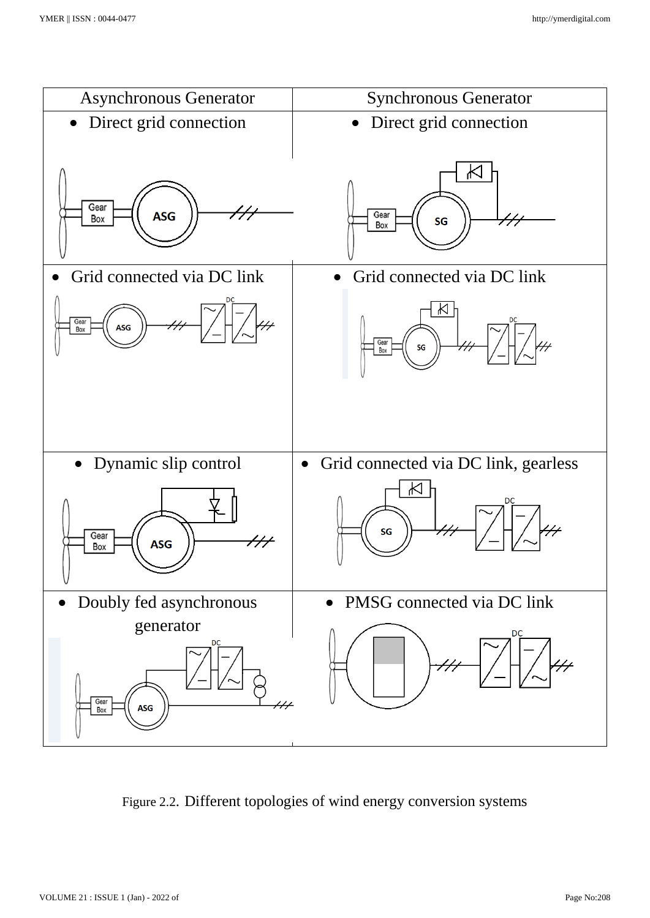

Figure 2.2. Different topologies of wind energy conversion systems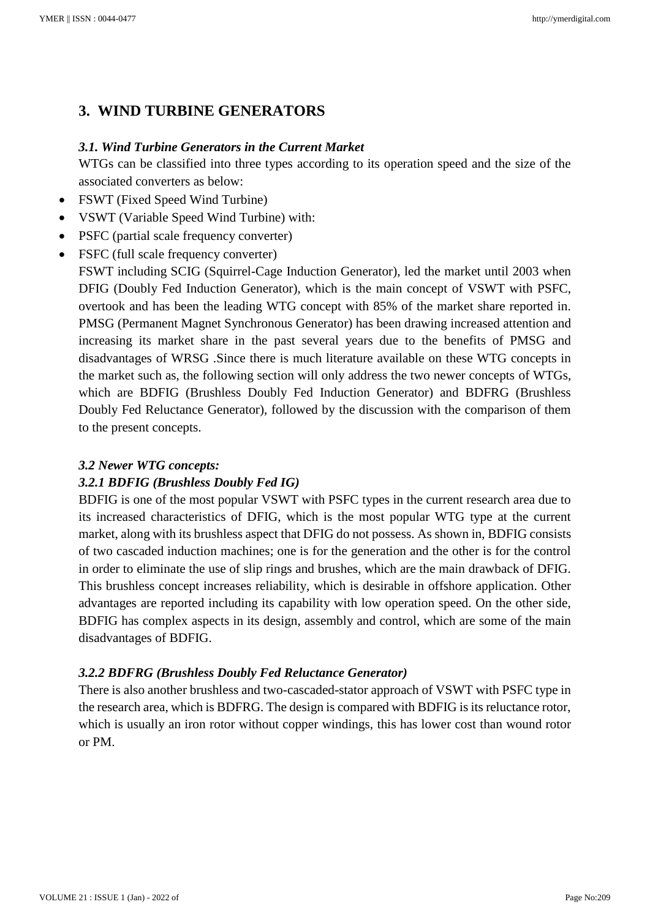# **3. WIND TURBINE GENERATORS**

## *3.1. Wind Turbine Generators in the Current Market*

WTGs can be classified into three types according to its operation speed and the size of the associated converters as below:

- FSWT (Fixed Speed Wind Turbine)
- VSWT (Variable Speed Wind Turbine) with:
- PSFC (partial scale frequency converter)
- FSFC (full scale frequency converter)

FSWT including SCIG (Squirrel-Cage Induction Generator), led the market until 2003 when DFIG (Doubly Fed Induction Generator), which is the main concept of VSWT with PSFC, overtook and has been the leading WTG concept with 85% of the market share reported in. PMSG (Permanent Magnet Synchronous Generator) has been drawing increased attention and increasing its market share in the past several years due to the benefits of PMSG and disadvantages of WRSG .Since there is much literature available on these WTG concepts in the market such as, the following section will only address the two newer concepts of WTGs, which are BDFIG (Brushless Doubly Fed Induction Generator) and BDFRG (Brushless Doubly Fed Reluctance Generator), followed by the discussion with the comparison of them to the present concepts.

#### *3.2 Newer WTG concepts:*

# *3.2.1 BDFIG (Brushless Doubly Fed IG)*

BDFIG is one of the most popular VSWT with PSFC types in the current research area due to its increased characteristics of DFIG, which is the most popular WTG type at the current market, along with its brushless aspect that DFIG do not possess. As shown in, BDFIG consists of two cascaded induction machines; one is for the generation and the other is for the control in order to eliminate the use of slip rings and brushes, which are the main drawback of DFIG. This brushless concept increases reliability, which is desirable in offshore application. Other advantages are reported including its capability with low operation speed. On the other side, BDFIG has complex aspects in its design, assembly and control, which are some of the main disadvantages of BDFIG.

# *3.2.2 BDFRG (Brushless Doubly Fed Reluctance Generator)*

There is also another brushless and two-cascaded-stator approach of VSWT with PSFC type in the research area, which is BDFRG. The design is compared with BDFIG is its reluctance rotor, which is usually an iron rotor without copper windings, this has lower cost than wound rotor or PM.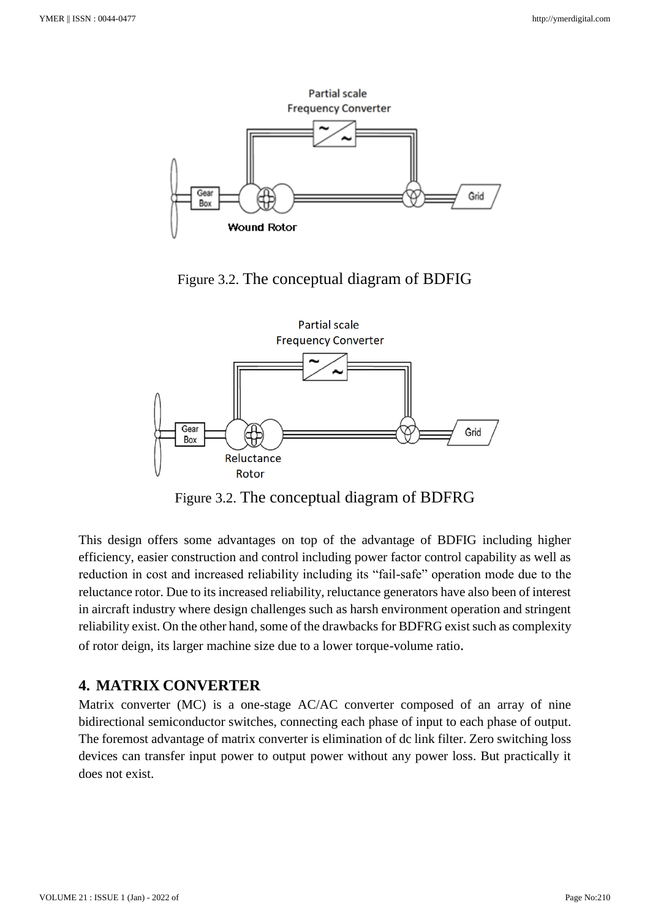

Figure 3.2. The conceptual diagram of BDFIG



Figure 3.2. The conceptual diagram of BDFRG

This design offers some advantages on top of the advantage of BDFIG including higher efficiency, easier construction and control including power factor control capability as well as reduction in cost and increased reliability including its "fail-safe" operation mode due to the reluctance rotor. Due to its increased reliability, reluctance generators have also been of interest in aircraft industry where design challenges such as harsh environment operation and stringent reliability exist. On the other hand, some of the drawbacks for BDFRG exist such as complexity of rotor deign, its larger machine size due to a lower torque-volume ratio.

# **4. MATRIX CONVERTER**

Matrix converter (MC) is a one-stage AC/AC converter composed of an array of nine bidirectional semiconductor switches, connecting each phase of input to each phase of output. The foremost advantage of matrix converter is elimination of dc link filter. Zero switching loss devices can transfer input power to output power without any power loss. But practically it does not exist.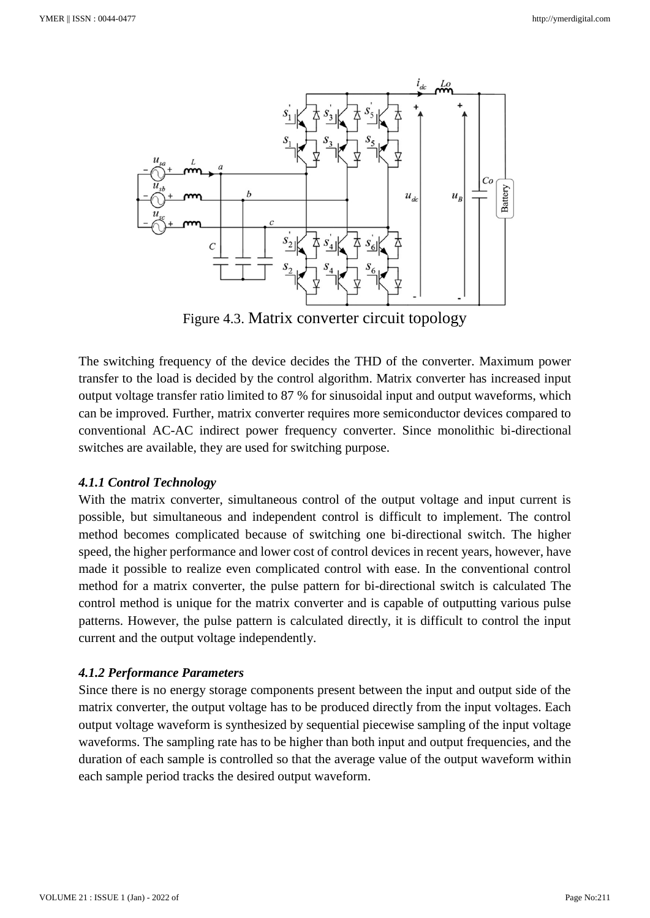

Figure 4.3. Matrix converter circuit topology

The switching frequency of the device decides the THD of the converter. Maximum power transfer to the load is decided by the control algorithm. Matrix converter has increased input output voltage transfer ratio limited to 87 % for sinusoidal input and output waveforms, which can be improved. Further, matrix converter requires more semiconductor devices compared to conventional AC-AC indirect power frequency converter. Since monolithic bi-directional switches are available, they are used for switching purpose.

#### *4.1.1 Control Technology*

With the matrix converter, simultaneous control of the output voltage and input current is possible, but simultaneous and independent control is difficult to implement. The control method becomes complicated because of switching one bi-directional switch. The higher speed, the higher performance and lower cost of control devices in recent years, however, have made it possible to realize even complicated control with ease. In the conventional control method for a matrix converter, the pulse pattern for bi-directional switch is calculated The control method is unique for the matrix converter and is capable of outputting various pulse patterns. However, the pulse pattern is calculated directly, it is difficult to control the input current and the output voltage independently.

#### *4.1.2 Performance Parameters*

Since there is no energy storage components present between the input and output side of the matrix converter, the output voltage has to be produced directly from the input voltages. Each output voltage waveform is synthesized by sequential piecewise sampling of the input voltage waveforms. The sampling rate has to be higher than both input and output frequencies, and the duration of each sample is controlled so that the average value of the output waveform within each sample period tracks the desired output waveform.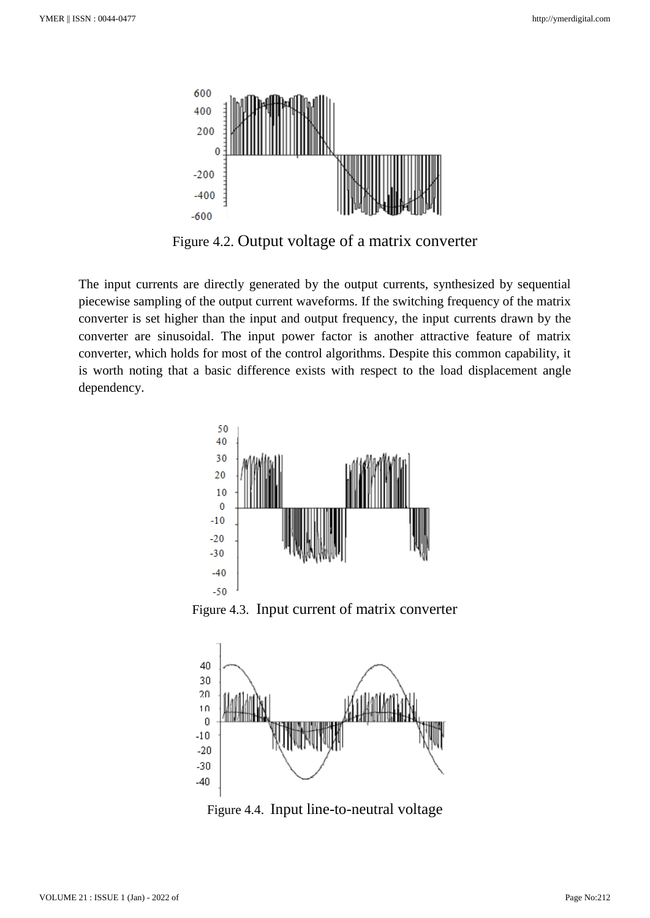

Figure 4.2. Output voltage of a matrix converter

The input currents are directly generated by the output currents, synthesized by sequential piecewise sampling of the output current waveforms. If the switching frequency of the matrix converter is set higher than the input and output frequency, the input currents drawn by the converter are sinusoidal. The input power factor is another attractive feature of matrix converter, which holds for most of the control algorithms. Despite this common capability, it is worth noting that a basic difference exists with respect to the load displacement angle dependency.



Figure 4.3. Input current of matrix converter



Figure 4.4. Input line-to-neutral voltage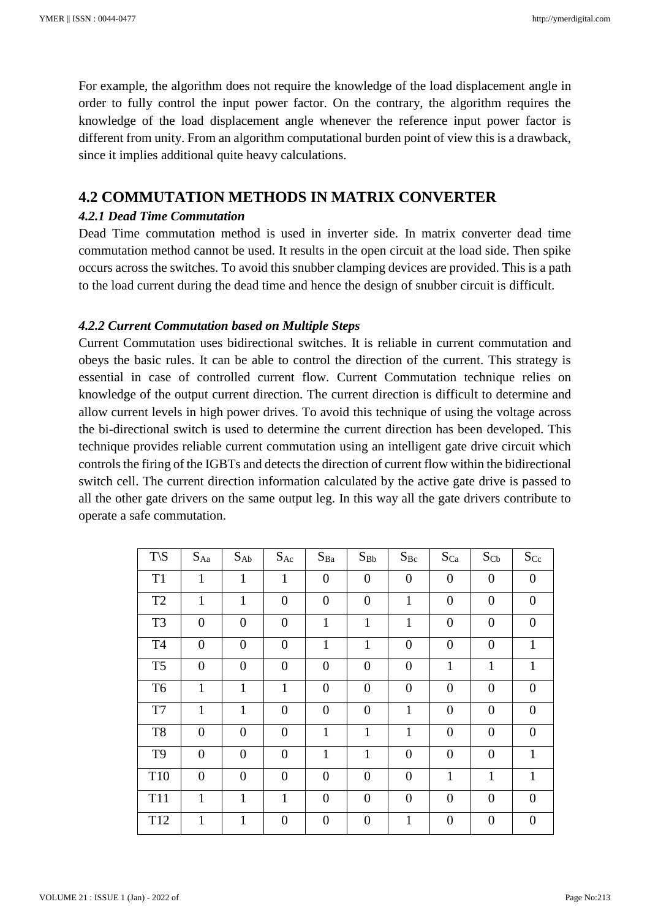For example, the algorithm does not require the knowledge of the load displacement angle in order to fully control the input power factor. On the contrary, the algorithm requires the knowledge of the load displacement angle whenever the reference input power factor is different from unity. From an algorithm computational burden point of view this is a drawback, since it implies additional quite heavy calculations.

# **4.2 COMMUTATION METHODS IN MATRIX CONVERTER**

#### *4.2.1 Dead Time Commutation*

Dead Time commutation method is used in inverter side. In matrix converter dead time commutation method cannot be used. It results in the open circuit at the load side. Then spike occurs across the switches. To avoid this snubber clamping devices are provided. This is a path to the load current during the dead time and hence the design of snubber circuit is difficult.

#### *4.2.2 Current Commutation based on Multiple Steps*

Current Commutation uses bidirectional switches. It is reliable in current commutation and obeys the basic rules. It can be able to control the direction of the current. This strategy is essential in case of controlled current flow. Current Commutation technique relies on knowledge of the output current direction. The current direction is difficult to determine and allow current levels in high power drives. To avoid this technique of using the voltage across the bi-directional switch is used to determine the current direction has been developed. This technique provides reliable current commutation using an intelligent gate drive circuit which controls the firing of the IGBTs and detects the direction of current flow within the bidirectional switch cell. The current direction information calculated by the active gate drive is passed to all the other gate drivers on the same output leg. In this way all the gate drivers contribute to operate a safe commutation.

| $T\setminus S$ | $S_{Aa}$         | $S_{Ab}$       | <b>SAc</b>       | $S_{Ba}$         | $S_{Bb}$         | $S_{Bc}$       | Sca              | $S_{Cb}$         | $S_{Cc}$         |
|----------------|------------------|----------------|------------------|------------------|------------------|----------------|------------------|------------------|------------------|
| T <sub>1</sub> | $\mathbf{1}$     | $\mathbf{1}$   | $\mathbf{1}$     | $\boldsymbol{0}$ | $\overline{0}$   | $\overline{0}$ | $\overline{0}$   | $\boldsymbol{0}$ | $\theta$         |
| T <sub>2</sub> | $\mathbf{1}$     | $\mathbf{1}$   | $\overline{0}$   | $\boldsymbol{0}$ | $\overline{0}$   | $\mathbf{1}$   | $\overline{0}$   | $\boldsymbol{0}$ | $\overline{0}$   |
| T <sub>3</sub> | $\boldsymbol{0}$ | $\overline{0}$ | $\overline{0}$   | $\mathbf{1}$     | $\mathbf{1}$     | $\mathbf{1}$   | $\boldsymbol{0}$ | $\boldsymbol{0}$ | $\theta$         |
| T <sub>4</sub> | $\boldsymbol{0}$ | $\overline{0}$ | $\boldsymbol{0}$ | $\mathbf{1}$     | $\mathbf{1}$     | $\overline{0}$ | $\boldsymbol{0}$ | $\boldsymbol{0}$ | $\mathbf{1}$     |
| T <sub>5</sub> | $\boldsymbol{0}$ | $\overline{0}$ | $\boldsymbol{0}$ | $\boldsymbol{0}$ | $\boldsymbol{0}$ | $\overline{0}$ | $\mathbf{1}$     | $\mathbf{1}$     | $\mathbf{1}$     |
| T <sub>6</sub> | $\mathbf{1}$     | $\mathbf{1}$   | $\mathbf{1}$     | $\overline{0}$   | $\overline{0}$   | $\overline{0}$ | $\overline{0}$   | $\overline{0}$   | $\overline{0}$   |
| T7             | $\mathbf{1}$     | $\mathbf{1}$   | $\overline{0}$   | $\overline{0}$   | $\overline{0}$   | $\mathbf{1}$   | $\overline{0}$   | $\overline{0}$   | $\overline{0}$   |
| T <sub>8</sub> | $\overline{0}$   | $\overline{0}$ | $\overline{0}$   | $\mathbf{1}$     | $\mathbf{1}$     | $\mathbf{1}$   | $\overline{0}$   | $\overline{0}$   | $\overline{0}$   |
| T <sub>9</sub> | $\overline{0}$   | $\overline{0}$ | $\overline{0}$   | $\mathbf{1}$     | $\mathbf{1}$     | $\overline{0}$ | $\boldsymbol{0}$ | $\overline{0}$   | 1                |
| T10            | $\overline{0}$   | $\overline{0}$ | $\overline{0}$   | $\overline{0}$   | $\overline{0}$   | $\overline{0}$ | $\mathbf{1}$     | $\mathbf{1}$     | $\mathbf{1}$     |
| <b>T11</b>     | $\mathbf{1}$     | $\mathbf{1}$   | $\mathbf{1}$     | $\boldsymbol{0}$ | $\overline{0}$   | $\overline{0}$ | $\overline{0}$   | $\boldsymbol{0}$ | $\overline{0}$   |
| T12            | $\mathbf{1}$     | 1              | $\boldsymbol{0}$ | $\boldsymbol{0}$ | $\boldsymbol{0}$ | $\mathbf{1}$   | $\boldsymbol{0}$ | $\boldsymbol{0}$ | $\boldsymbol{0}$ |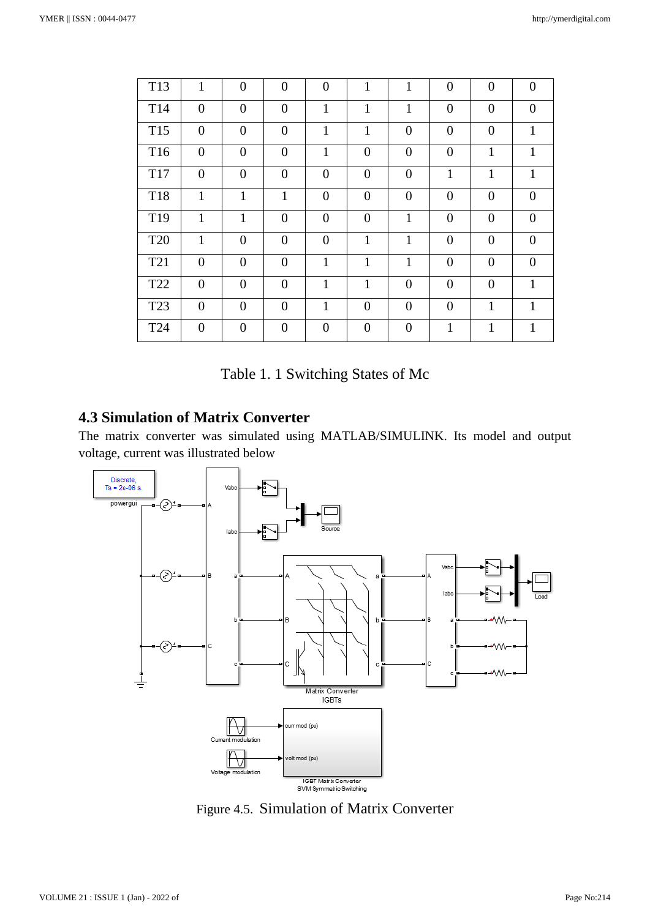| T13             | $\mathbf{1}$     | $\overline{0}$ | $\overline{0}$ | $\overline{0}$   | $\mathbf{1}$     | $\mathbf{1}$   | $\overline{0}$ | $\overline{0}$   | $\overline{0}$ |
|-----------------|------------------|----------------|----------------|------------------|------------------|----------------|----------------|------------------|----------------|
| T14             | $\overline{0}$   | $\overline{0}$ | $\overline{0}$ | $\mathbf{1}$     | $\mathbf{1}$     | $\mathbf{1}$   | $\overline{0}$ | $\overline{0}$   | $\theta$       |
| T <sub>15</sub> | $\overline{0}$   | $\overline{0}$ | $\overline{0}$ | $\mathbf{1}$     | 1                | $\overline{0}$ | $\overline{0}$ | $\boldsymbol{0}$ | $\mathbf{1}$   |
| T16             | $\overline{0}$   | $\overline{0}$ | $\overline{0}$ | $\mathbf{1}$     | $\boldsymbol{0}$ | $\overline{0}$ | $\overline{0}$ | $\mathbf{1}$     | $\mathbf{1}$   |
| <b>T17</b>      | $\overline{0}$   | $\overline{0}$ | $\overline{0}$ | $\overline{0}$   | $\overline{0}$   | $\overline{0}$ | $\mathbf{1}$   | $\mathbf{1}$     | $\mathbf{1}$   |
| <b>T18</b>      | $\mathbf{1}$     | $\mathbf{1}$   | $\mathbf{1}$   | $\boldsymbol{0}$ | $\overline{0}$   | $\overline{0}$ | $\overline{0}$ | $\overline{0}$   | $\overline{0}$ |
| T <sub>19</sub> | $\mathbf{1}$     | $\mathbf{1}$   | $\overline{0}$ | $\overline{0}$   | $\overline{0}$   | $\mathbf{1}$   | $\overline{0}$ | $\overline{0}$   | $\theta$       |
| <b>T20</b>      | $\mathbf{1}$     | $\overline{0}$ | $\overline{0}$ | $\overline{0}$   | 1                | $\mathbf{1}$   | $\overline{0}$ | $\overline{0}$   | $\overline{0}$ |
| T <sub>21</sub> | $\boldsymbol{0}$ | $\overline{0}$ | $\overline{0}$ | $\mathbf{1}$     | 1                | $\mathbf{1}$   | $\overline{0}$ | $\overline{0}$   | $\theta$       |
| T <sub>22</sub> | $\boldsymbol{0}$ | $\overline{0}$ | $\overline{0}$ | $\mathbf{1}$     | 1                | $\overline{0}$ | $\overline{0}$ | $\overline{0}$   | $\mathbf{1}$   |
| T <sub>23</sub> | $\overline{0}$   | $\overline{0}$ | $\overline{0}$ | $\mathbf{1}$     | $\overline{0}$   | $\overline{0}$ | $\overline{0}$ | $\mathbf{1}$     | $\mathbf{1}$   |
| T <sub>24</sub> | $\overline{0}$   | $\overline{0}$ | $\overline{0}$ | $\boldsymbol{0}$ | $\overline{0}$   | $\overline{0}$ | 1              | $\mathbf{1}$     | 1              |

# **4.3 Simulation of Matrix Converter**

The matrix converter was simulated using MATLAB/SIMULINK. Its model and output voltage, current was illustrated below



Figure 4.5. Simulation of Matrix Converter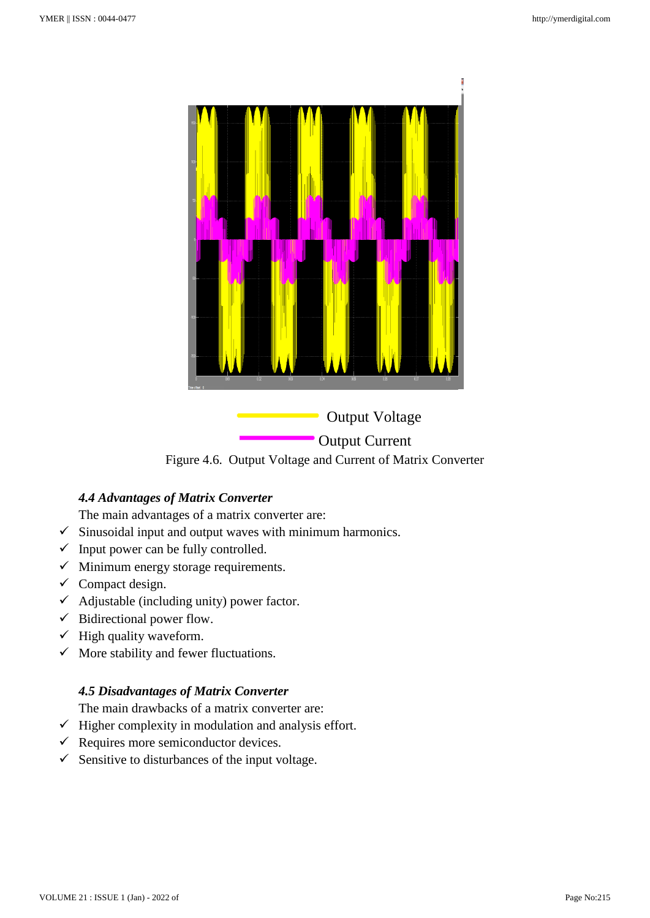



# *4.4 Advantages of Matrix Converter*

The main advantages of a matrix converter are:

- $\checkmark$  Sinusoidal input and output waves with minimum harmonics.
- $\checkmark$  Input power can be fully controlled.
- $\checkmark$  Minimum energy storage requirements.
- $\checkmark$  Compact design.
- $\checkmark$  Adjustable (including unity) power factor.
- $\checkmark$  Bidirectional power flow.
- $\checkmark$  High quality waveform.
- $\checkmark$  More stability and fewer fluctuations.

# *4.5 Disadvantages of Matrix Converter*

The main drawbacks of a matrix converter are:

- $\checkmark$  Higher complexity in modulation and analysis effort.
- $\checkmark$  Requires more semiconductor devices.
- $\checkmark$  Sensitive to disturbances of the input voltage.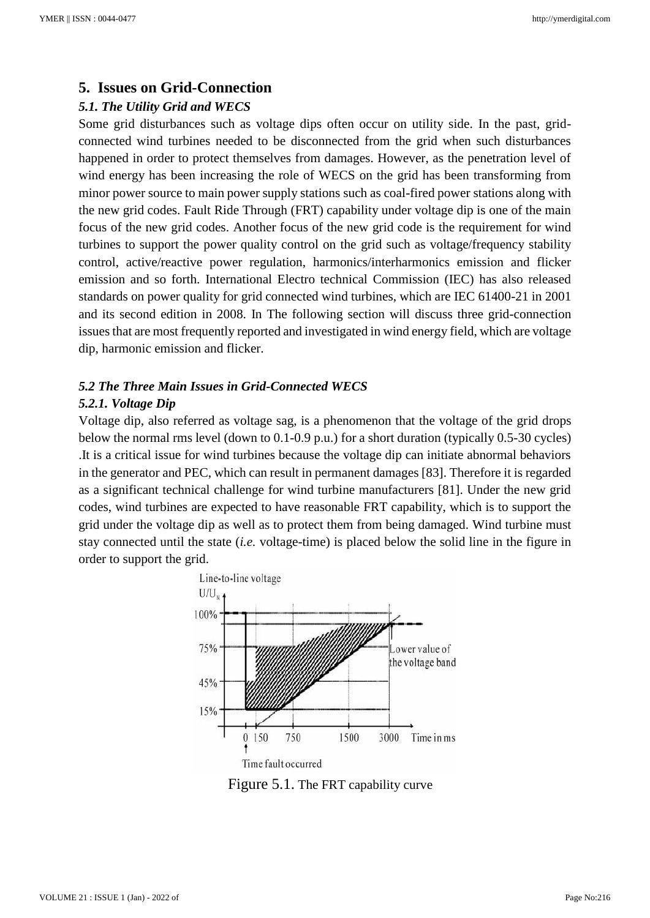## **5. Issues on Grid-Connection**

#### *5.1. The Utility Grid and WECS*

Some grid disturbances such as voltage dips often occur on utility side. In the past, gridconnected wind turbines needed to be disconnected from the grid when such disturbances happened in order to protect themselves from damages. However, as the penetration level of wind energy has been increasing the role of WECS on the grid has been transforming from minor power source to main power supply stations such as coal-fired power stations along with the new grid codes. Fault Ride Through (FRT) capability under voltage dip is one of the main focus of the new grid codes. Another focus of the new grid code is the requirement for wind turbines to support the power quality control on the grid such as voltage/frequency stability control, active/reactive power regulation, harmonics/interharmonics emission and flicker emission and so forth. International Electro technical Commission (IEC) has also released standards on power quality for grid connected wind turbines, which are IEC 61400-21 in 2001 and its second edition in 2008. In The following section will discuss three grid-connection issues that are most frequently reported and investigated in wind energy field, which are voltage dip, harmonic emission and flicker.

# *5.2 The Three Main Issues in Grid-Connected WECS*

#### *5.2.1. Voltage Dip*

Voltage dip, also referred as voltage sag, is a phenomenon that the voltage of the grid drops below the normal rms level (down to 0.1-0.9 p.u.) for a short duration (typically 0.5-30 cycles) .It is a critical issue for wind turbines because the voltage dip can initiate abnormal behaviors in the generator and PEC, which can result in permanent damages [83]. Therefore it is regarded as a significant technical challenge for wind turbine manufacturers [81]. Under the new grid codes, wind turbines are expected to have reasonable FRT capability, which is to support the grid under the voltage dip as well as to protect them from being damaged. Wind turbine must stay connected until the state (*i.e.* voltage-time) is placed below the solid line in the figure in order to support the grid.



Figure 5.1. The FRT capability curve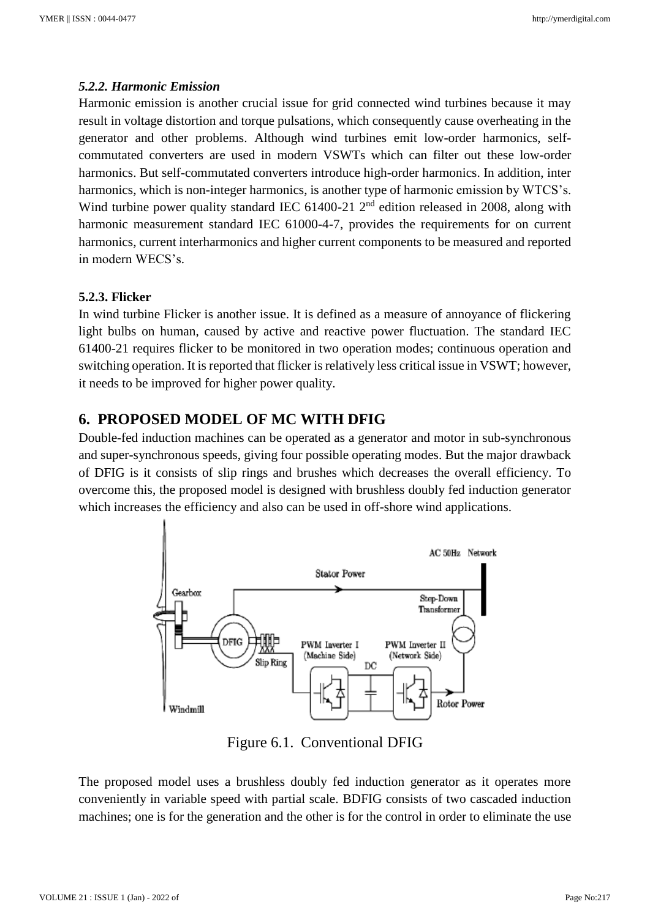#### *5.2.2. Harmonic Emission*

Harmonic emission is another crucial issue for grid connected wind turbines because it may result in voltage distortion and torque pulsations, which consequently cause overheating in the generator and other problems. Although wind turbines emit low-order harmonics, selfcommutated converters are used in modern VSWTs which can filter out these low-order harmonics. But self-commutated converters introduce high-order harmonics. In addition, inter harmonics, which is non-integer harmonics, is another type of harmonic emission by WTCS's. Wind turbine power quality standard IEC 61400-21 2<sup>nd</sup> edition released in 2008, along with harmonic measurement standard IEC 61000-4-7, provides the requirements for on current harmonics, current interharmonics and higher current components to be measured and reported in modern WECS's.

#### **5.2.3. Flicker**

In wind turbine Flicker is another issue. It is defined as a measure of annoyance of flickering light bulbs on human, caused by active and reactive power fluctuation. The standard IEC 61400-21 requires flicker to be monitored in two operation modes; continuous operation and switching operation. It is reported that flicker is relatively less critical issue in VSWT; however, it needs to be improved for higher power quality.

# **6. PROPOSED MODEL OF MC WITH DFIG**

Double-fed induction machines can be operated as a generator and motor in sub-synchronous and super-synchronous speeds, giving four possible operating modes. But the major drawback of DFIG is it consists of slip rings and brushes which decreases the overall efficiency. To overcome this, the proposed model is designed with brushless doubly fed induction generator which increases the efficiency and also can be used in off-shore wind applications.



Figure 6.1. Conventional DFIG

The proposed model uses a brushless doubly fed induction generator as it operates more conveniently in variable speed with partial scale. BDFIG consists of two cascaded induction machines; one is for the generation and the other is for the control in order to eliminate the use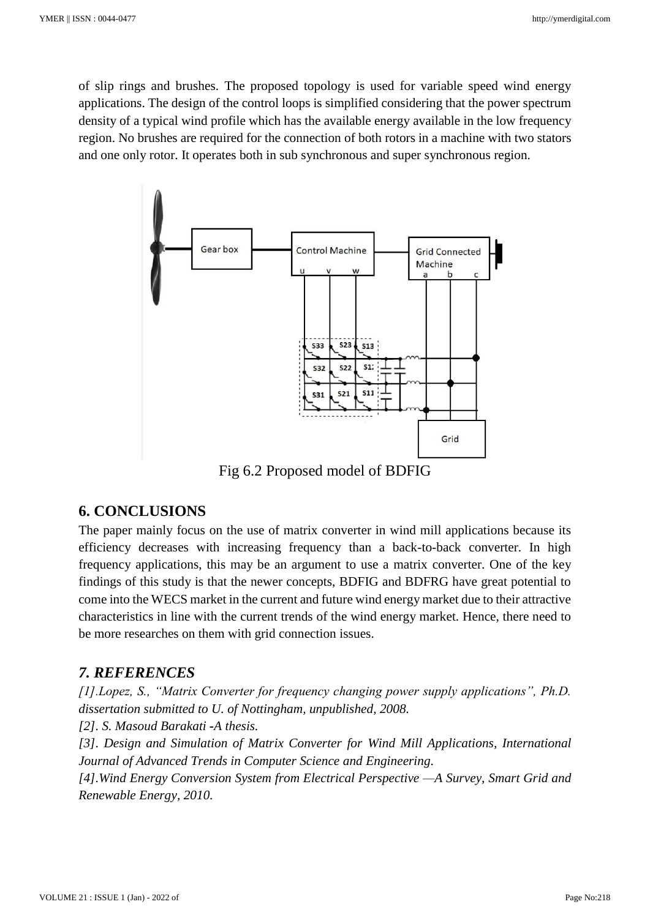of slip rings and brushes. The proposed topology is used for variable speed wind energy applications. The design of the control loops is simplified considering that the power spectrum density of a typical wind profile which has the available energy available in the low frequency region. No brushes are required for the connection of both rotors in a machine with two stators and one only rotor. It operates both in sub synchronous and super synchronous region.



Fig 6.2 Proposed model of BDFIG

#### **6. CONCLUSIONS**

The paper mainly focus on the use of matrix converter in wind mill applications because its efficiency decreases with increasing frequency than a back-to-back converter. In high frequency applications, this may be an argument to use a matrix converter. One of the key findings of this study is that the newer concepts, BDFIG and BDFRG have great potential to come into the WECS market in the current and future wind energy market due to their attractive characteristics in line with the current trends of the wind energy market. Hence, there need to be more researches on them with grid connection issues.

# *7. REFERENCES*

*[1].Lopez, S., "Matrix Converter for frequency changing power supply applications", Ph.D. dissertation submitted to U. of Nottingham, unpublished, 2008.*

*[2]. S. Masoud Barakati -A thesis.*

*[3]. Design and Simulation of Matrix Converter for Wind Mill Applications, International Journal of Advanced Trends in Computer Science and Engineering.*

*[4].Wind Energy Conversion System from Electrical Perspective —A Survey, Smart Grid and Renewable Energy, 2010.*